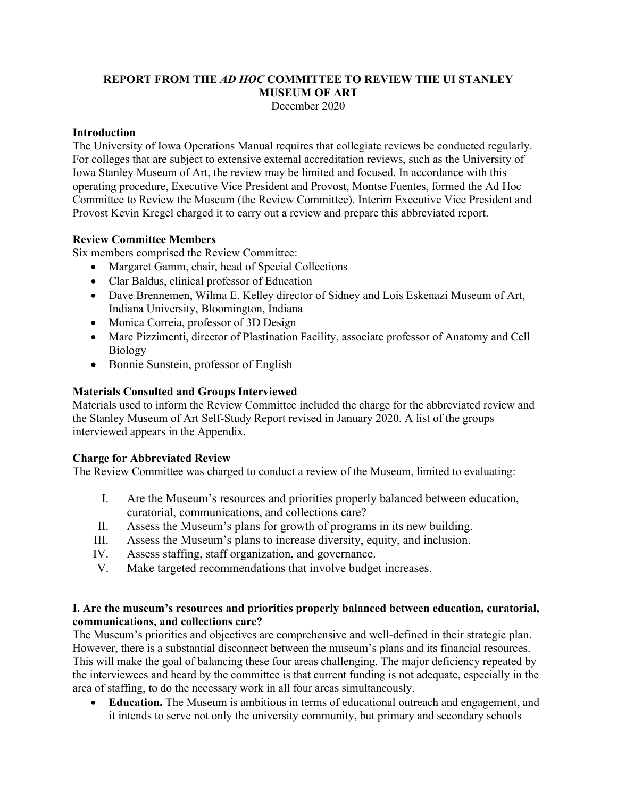# **REPORT FROM THE** *AD HOC* **COMMITTEE TO REVIEW THE UI STANLEY MUSEUM OF ART**

December 2020

#### **Introduction**

The University of Iowa Operations Manual requires that collegiate reviews be conducted regularly. For colleges that are subject to extensive external accreditation reviews, such as the University of Iowa Stanley Museum of Art, the review may be limited and focused. In accordance with this operating procedure, Executive Vice President and Provost, Montse Fuentes, formed the Ad Hoc Committee to Review the Museum (the Review Committee). Interim Executive Vice President and Provost Kevin Kregel charged it to carry out a review and prepare this abbreviated report.

#### **Review Committee Members**

Six members comprised the Review Committee:

- Margaret Gamm, chair, head of Special Collections
- Clar Baldus, clinical professor of Education
- Dave Brennemen, Wilma E. Kelley director of Sidney and Lois Eskenazi Museum of Art, Indiana University, Bloomington, Indiana
- Monica Correia, professor of 3D Design
- Marc Pizzimenti, director of Plastination Facility, associate professor of Anatomy and Cell Biology
- Bonnie Sunstein, professor of English

#### **Materials Consulted and Groups Interviewed**

Materials used to inform the Review Committee included the charge for the abbreviated review and the Stanley Museum of Art Self-Study Report revised in January 2020. A list of the groups interviewed appears in the Appendix.

#### **Charge for Abbreviated Review**

The Review Committee was charged to conduct a review of the Museum, limited to evaluating:

- I. Are the Museum's resources and priorities properly balanced between education, curatorial, communications, and collections care?
- II. Assess the Museum's plans for growth of programs in its new building.
- III. Assess the Museum's plans to increase diversity, equity, and inclusion.
- IV. Assess staffing, staff organization, and governance.
- V. Make targeted recommendations that involve budget increases.

#### **I. Are the museum's resources and priorities properly balanced between education, curatorial, communications, and collections care?**

The Museum's priorities and objectives are comprehensive and well-defined in their strategic plan. However, there is a substantial disconnect between the museum's plans and its financial resources. This will make the goal of balancing these four areas challenging. The major deficiency repeated by the interviewees and heard by the committee is that current funding is not adequate, especially in the area of staffing, to do the necessary work in all four areas simultaneously.

• **Education.** The Museum is ambitious in terms of educational outreach and engagement, and it intends to serve not only the university community, but primary and secondary schools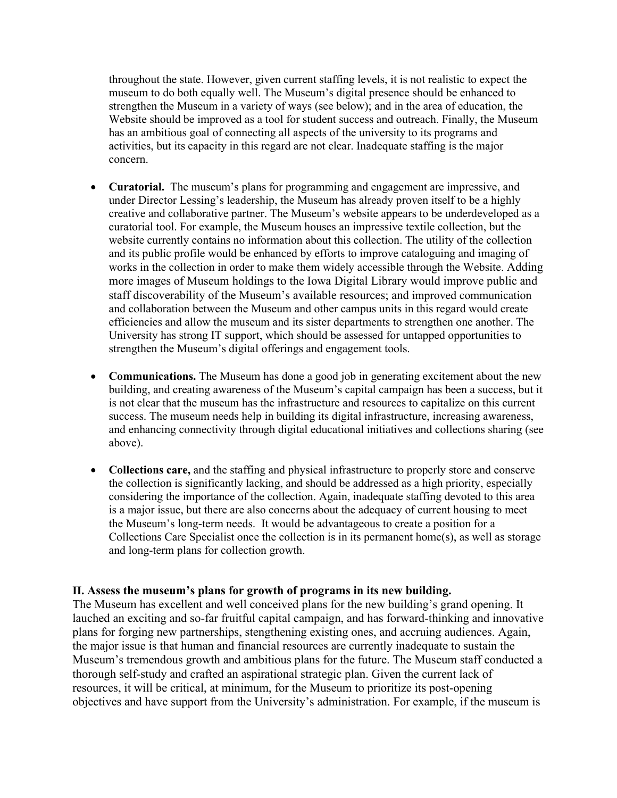throughout the state. However, given current staffing levels, it is not realistic to expect the museum to do both equally well. The Museum's digital presence should be enhanced to strengthen the Museum in a variety of ways (see below); and in the area of education, the Website should be improved as a tool for student success and outreach. Finally, the Museum has an ambitious goal of connecting all aspects of the university to its programs and activities, but its capacity in this regard are not clear. Inadequate staffing is the major concern.

- **Curatorial.** The museum's plans for programming and engagement are impressive, and under Director Lessing's leadership, the Museum has already proven itself to be a highly creative and collaborative partner. The Museum's website appears to be underdeveloped as a curatorial tool. For example, the Museum houses an impressive textile collection, but the website currently contains no information about this collection. The utility of the collection and its public profile would be enhanced by efforts to improve cataloguing and imaging of works in the collection in order to make them widely accessible through the Website. Adding more images of Museum holdings to the Iowa Digital Library would improve public and staff discoverability of the Museum's available resources; and improved communication and collaboration between the Museum and other campus units in this regard would create efficiencies and allow the museum and its sister departments to strengthen one another. The University has strong IT support, which should be assessed for untapped opportunities to strengthen the Museum's digital offerings and engagement tools.
- **Communications.** The Museum has done a good job in generating excitement about the new building, and creating awareness of the Museum's capital campaign has been a success, but it is not clear that the museum has the infrastructure and resources to capitalize on this current success. The museum needs help in building its digital infrastructure, increasing awareness, and enhancing connectivity through digital educational initiatives and collections sharing (see above).
- **Collections care,** and the staffing and physical infrastructure to properly store and conserve the collection is significantly lacking, and should be addressed as a high priority, especially considering the importance of the collection. Again, inadequate staffing devoted to this area is a major issue, but there are also concerns about the adequacy of current housing to meet the Museum's long-term needs. It would be advantageous to create a position for a Collections Care Specialist once the collection is in its permanent home(s), as well as storage and long-term plans for collection growth.

#### **II. Assess the museum's plans for growth of programs in its new building.**

The Museum has excellent and well conceived plans for the new building's grand opening. It lauched an exciting and so-far fruitful capital campaign, and has forward-thinking and innovative plans for forging new partnerships, stengthening existing ones, and accruing audiences. Again, the major issue is that human and financial resources are currently inadequate to sustain the Museum's tremendous growth and ambitious plans for the future. The Museum staff conducted a thorough self-study and crafted an aspirational strategic plan. Given the current lack of resources, it will be critical, at minimum, for the Museum to prioritize its post-opening objectives and have support from the University's administration. For example, if the museum is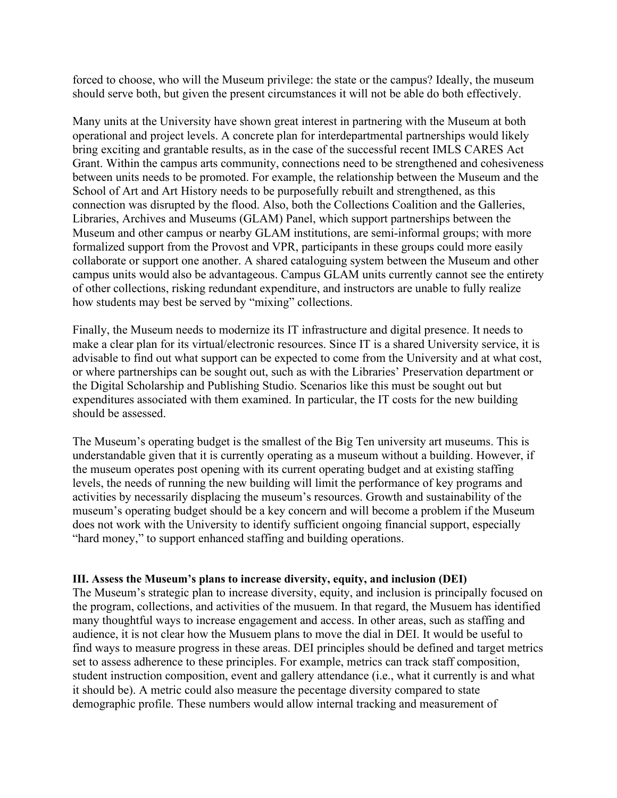forced to choose, who will the Museum privilege: the state or the campus? Ideally, the museum should serve both, but given the present circumstances it will not be able do both effectively.

Many units at the University have shown great interest in partnering with the Museum at both operational and project levels. A concrete plan for interdepartmental partnerships would likely bring exciting and grantable results, as in the case of the successful recent IMLS CARES Act Grant. Within the campus arts community, connections need to be strengthened and cohesiveness between units needs to be promoted. For example, the relationship between the Museum and the School of Art and Art History needs to be purposefully rebuilt and strengthened, as this connection was disrupted by the flood. Also, both the Collections Coalition and the Galleries, Libraries, Archives and Museums (GLAM) Panel, which support partnerships between the Museum and other campus or nearby GLAM institutions, are semi-informal groups; with more formalized support from the Provost and VPR, participants in these groups could more easily collaborate or support one another. A shared cataloguing system between the Museum and other campus units would also be advantageous. Campus GLAM units currently cannot see the entirety of other collections, risking redundant expenditure, and instructors are unable to fully realize how students may best be served by "mixing" collections.

Finally, the Museum needs to modernize its IT infrastructure and digital presence. It needs to make a clear plan for its virtual/electronic resources. Since IT is a shared University service, it is advisable to find out what support can be expected to come from the University and at what cost, or where partnerships can be sought out, such as with the Libraries' Preservation department or the Digital Scholarship and Publishing Studio. Scenarios like this must be sought out but expenditures associated with them examined. In particular, the IT costs for the new building should be assessed.

The Museum's operating budget is the smallest of the Big Ten university art museums. This is understandable given that it is currently operating as a museum without a building. However, if the museum operates post opening with its current operating budget and at existing staffing levels, the needs of running the new building will limit the performance of key programs and activities by necessarily displacing the museum's resources. Growth and sustainability of the museum's operating budget should be a key concern and will become a problem if the Museum does not work with the University to identify sufficient ongoing financial support, especially "hard money," to support enhanced staffing and building operations.

#### **III. Assess the Museum's plans to increase diversity, equity, and inclusion (DEI)**

The Museum's strategic plan to increase diversity, equity, and inclusion is principally focused on the program, collections, and activities of the musuem. In that regard, the Musuem has identified many thoughtful ways to increase engagement and access. In other areas, such as staffing and audience, it is not clear how the Musuem plans to move the dial in DEI. It would be useful to find ways to measure progress in these areas. DEI principles should be defined and target metrics set to assess adherence to these principles. For example, metrics can track staff composition, student instruction composition, event and gallery attendance (i.e., what it currently is and what it should be). A metric could also measure the pecentage diversity compared to state demographic profile. These numbers would allow internal tracking and measurement of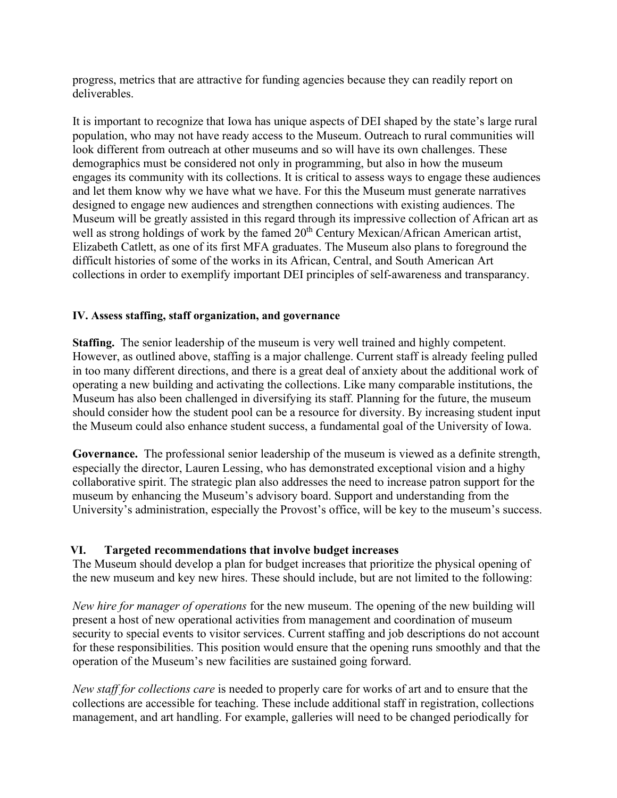progress, metrics that are attractive for funding agencies because they can readily report on deliverables.

It is important to recognize that Iowa has unique aspects of DEI shaped by the state's large rural population, who may not have ready access to the Museum. Outreach to rural communities will look different from outreach at other museums and so will have its own challenges. These demographics must be considered not only in programming, but also in how the museum engages its community with its collections. It is critical to assess ways to engage these audiences and let them know why we have what we have. For this the Museum must generate narratives designed to engage new audiences and strengthen connections with existing audiences. The Museum will be greatly assisted in this regard through its impressive collection of African art as well as strong holdings of work by the famed 20<sup>th</sup> Century Mexican/African American artist, Elizabeth Catlett, as one of its first MFA graduates. The Museum also plans to foreground the difficult histories of some of the works in its African, Central, and South American Art collections in order to exemplify important DEI principles of self-awareness and transparancy.

#### **IV. Assess staffing, staff organization, and governance**

**Staffing.** The senior leadership of the museum is very well trained and highly competent. However, as outlined above, staffing is a major challenge. Current staff is already feeling pulled in too many different directions, and there is a great deal of anxiety about the additional work of operating a new building and activating the collections. Like many comparable institutions, the Museum has also been challenged in diversifying its staff. Planning for the future, the museum should consider how the student pool can be a resource for diversity. By increasing student input the Museum could also enhance student success, a fundamental goal of the University of Iowa.

**Governance.** The professional senior leadership of the museum is viewed as a definite strength, especially the director, Lauren Lessing, who has demonstrated exceptional vision and a highy collaborative spirit. The strategic plan also addresses the need to increase patron support for the museum by enhancing the Museum's advisory board. Support and understanding from the University's administration, especially the Provost's office, will be key to the museum's success.

### **VI. Targeted recommendations that involve budget increases**

The Museum should develop a plan for budget increases that prioritize the physical opening of the new museum and key new hires. These should include, but are not limited to the following:

*New hire for manager of operations* for the new museum. The opening of the new building will present a host of new operational activities from management and coordination of museum security to special events to visitor services. Current staffing and job descriptions do not account for these responsibilities. This position would ensure that the opening runs smoothly and that the operation of the Museum's new facilities are sustained going forward.

*New staff for collections care* is needed to properly care for works of art and to ensure that the collections are accessible for teaching. These include additional staff in registration, collections management, and art handling. For example, galleries will need to be changed periodically for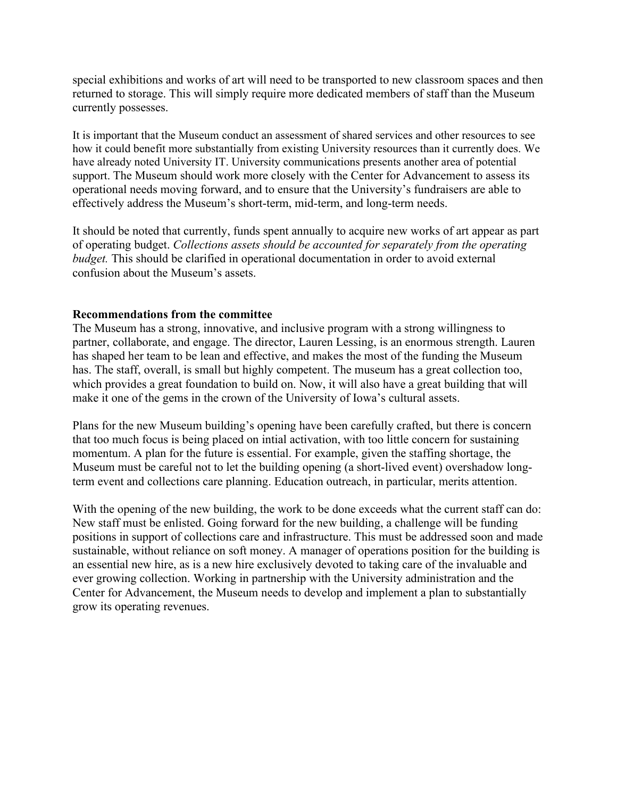special exhibitions and works of art will need to be transported to new classroom spaces and then returned to storage. This will simply require more dedicated members of staff than the Museum currently possesses.

It is important that the Museum conduct an assessment of shared services and other resources to see how it could benefit more substantially from existing University resources than it currently does. We have already noted University IT. University communications presents another area of potential support. The Museum should work more closely with the Center for Advancement to assess its operational needs moving forward, and to ensure that the University's fundraisers are able to effectively address the Museum's short-term, mid-term, and long-term needs.

It should be noted that currently, funds spent annually to acquire new works of art appear as part of operating budget. *Collections assets should be accounted for separately from the operating budget.* This should be clarified in operational documentation in order to avoid external confusion about the Museum's assets.

#### **Recommendations from the committee**

The Museum has a strong, innovative, and inclusive program with a strong willingness to partner, collaborate, and engage. The director, Lauren Lessing, is an enormous strength. Lauren has shaped her team to be lean and effective, and makes the most of the funding the Museum has. The staff, overall, is small but highly competent. The museum has a great collection too, which provides a great foundation to build on. Now, it will also have a great building that will make it one of the gems in the crown of the University of Iowa's cultural assets.

Plans for the new Museum building's opening have been carefully crafted, but there is concern that too much focus is being placed on intial activation, with too little concern for sustaining momentum. A plan for the future is essential. For example, given the staffing shortage, the Museum must be careful not to let the building opening (a short-lived event) overshadow longterm event and collections care planning. Education outreach, in particular, merits attention.

With the opening of the new building, the work to be done exceeds what the current staff can do: New staff must be enlisted. Going forward for the new building, a challenge will be funding positions in support of collections care and infrastructure. This must be addressed soon and made sustainable, without reliance on soft money. A manager of operations position for the building is an essential new hire, as is a new hire exclusively devoted to taking care of the invaluable and ever growing collection. Working in partnership with the University administration and the Center for Advancement, the Museum needs to develop and implement a plan to substantially grow its operating revenues.